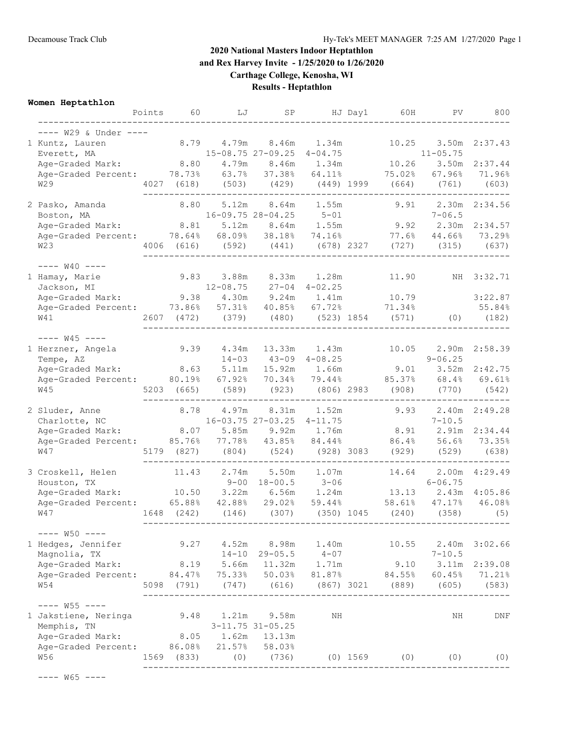## **2020 National Masters Indoor Heptathlon and Rex Harvey Invite - 1/25/2020 to 1/26/2020**

**Carthage College, Kenosha, WI**

**Results - Heptathlon**

**Women Heptathlon**

|                                                                                          |                                                           |                                                                                                                                                                                                                                                                                                                                                                                    |                                                                                                                                                                                                                                                                                                                        |                                                                                                                                                                                                                                                                                    |                                                                                                                                                                                                                                                                                                                                                                                                                                      | PV                                                                                                                                                               | 800                                                                                                                                                                                                                                                                                                                                                                                                                                                                                                         |
|------------------------------------------------------------------------------------------|-----------------------------------------------------------|------------------------------------------------------------------------------------------------------------------------------------------------------------------------------------------------------------------------------------------------------------------------------------------------------------------------------------------------------------------------------------|------------------------------------------------------------------------------------------------------------------------------------------------------------------------------------------------------------------------------------------------------------------------------------------------------------------------|------------------------------------------------------------------------------------------------------------------------------------------------------------------------------------------------------------------------------------------------------------------------------------|--------------------------------------------------------------------------------------------------------------------------------------------------------------------------------------------------------------------------------------------------------------------------------------------------------------------------------------------------------------------------------------------------------------------------------------|------------------------------------------------------------------------------------------------------------------------------------------------------------------|-------------------------------------------------------------------------------------------------------------------------------------------------------------------------------------------------------------------------------------------------------------------------------------------------------------------------------------------------------------------------------------------------------------------------------------------------------------------------------------------------------------|
|                                                                                          |                                                           |                                                                                                                                                                                                                                                                                                                                                                                    |                                                                                                                                                                                                                                                                                                                        |                                                                                                                                                                                                                                                                                    |                                                                                                                                                                                                                                                                                                                                                                                                                                      |                                                                                                                                                                  |                                                                                                                                                                                                                                                                                                                                                                                                                                                                                                             |
|                                                                                          |                                                           |                                                                                                                                                                                                                                                                                                                                                                                    |                                                                                                                                                                                                                                                                                                                        |                                                                                                                                                                                                                                                                                    |                                                                                                                                                                                                                                                                                                                                                                                                                                      |                                                                                                                                                                  | 2:37.43                                                                                                                                                                                                                                                                                                                                                                                                                                                                                                     |
|                                                                                          |                                                           |                                                                                                                                                                                                                                                                                                                                                                                    |                                                                                                                                                                                                                                                                                                                        |                                                                                                                                                                                                                                                                                    |                                                                                                                                                                                                                                                                                                                                                                                                                                      |                                                                                                                                                                  | 2:37.44                                                                                                                                                                                                                                                                                                                                                                                                                                                                                                     |
|                                                                                          |                                                           |                                                                                                                                                                                                                                                                                                                                                                                    |                                                                                                                                                                                                                                                                                                                        |                                                                                                                                                                                                                                                                                    |                                                                                                                                                                                                                                                                                                                                                                                                                                      | 67.96%                                                                                                                                                           | 71.96%                                                                                                                                                                                                                                                                                                                                                                                                                                                                                                      |
|                                                                                          |                                                           |                                                                                                                                                                                                                                                                                                                                                                                    |                                                                                                                                                                                                                                                                                                                        |                                                                                                                                                                                                                                                                                    |                                                                                                                                                                                                                                                                                                                                                                                                                                      |                                                                                                                                                                  | (603)                                                                                                                                                                                                                                                                                                                                                                                                                                                                                                       |
|                                                                                          |                                                           | 8.64m                                                                                                                                                                                                                                                                                                                                                                              |                                                                                                                                                                                                                                                                                                                        |                                                                                                                                                                                                                                                                                    |                                                                                                                                                                                                                                                                                                                                                                                                                                      | 2.30m                                                                                                                                                            | 2:34.56                                                                                                                                                                                                                                                                                                                                                                                                                                                                                                     |
|                                                                                          |                                                           |                                                                                                                                                                                                                                                                                                                                                                                    |                                                                                                                                                                                                                                                                                                                        |                                                                                                                                                                                                                                                                                    |                                                                                                                                                                                                                                                                                                                                                                                                                                      |                                                                                                                                                                  |                                                                                                                                                                                                                                                                                                                                                                                                                                                                                                             |
|                                                                                          |                                                           |                                                                                                                                                                                                                                                                                                                                                                                    |                                                                                                                                                                                                                                                                                                                        |                                                                                                                                                                                                                                                                                    |                                                                                                                                                                                                                                                                                                                                                                                                                                      |                                                                                                                                                                  | 73.29%                                                                                                                                                                                                                                                                                                                                                                                                                                                                                                      |
|                                                                                          |                                                           |                                                                                                                                                                                                                                                                                                                                                                                    |                                                                                                                                                                                                                                                                                                                        |                                                                                                                                                                                                                                                                                    |                                                                                                                                                                                                                                                                                                                                                                                                                                      |                                                                                                                                                                  |                                                                                                                                                                                                                                                                                                                                                                                                                                                                                                             |
|                                                                                          |                                                           |                                                                                                                                                                                                                                                                                                                                                                                    |                                                                                                                                                                                                                                                                                                                        |                                                                                                                                                                                                                                                                                    |                                                                                                                                                                                                                                                                                                                                                                                                                                      |                                                                                                                                                                  |                                                                                                                                                                                                                                                                                                                                                                                                                                                                                                             |
|                                                                                          |                                                           |                                                                                                                                                                                                                                                                                                                                                                                    |                                                                                                                                                                                                                                                                                                                        |                                                                                                                                                                                                                                                                                    |                                                                                                                                                                                                                                                                                                                                                                                                                                      |                                                                                                                                                                  | NH 3:32.71                                                                                                                                                                                                                                                                                                                                                                                                                                                                                                  |
|                                                                                          |                                                           |                                                                                                                                                                                                                                                                                                                                                                                    |                                                                                                                                                                                                                                                                                                                        |                                                                                                                                                                                                                                                                                    |                                                                                                                                                                                                                                                                                                                                                                                                                                      |                                                                                                                                                                  |                                                                                                                                                                                                                                                                                                                                                                                                                                                                                                             |
|                                                                                          |                                                           |                                                                                                                                                                                                                                                                                                                                                                                    |                                                                                                                                                                                                                                                                                                                        |                                                                                                                                                                                                                                                                                    |                                                                                                                                                                                                                                                                                                                                                                                                                                      |                                                                                                                                                                  | 3:22.87                                                                                                                                                                                                                                                                                                                                                                                                                                                                                                     |
|                                                                                          |                                                           |                                                                                                                                                                                                                                                                                                                                                                                    |                                                                                                                                                                                                                                                                                                                        |                                                                                                                                                                                                                                                                                    |                                                                                                                                                                                                                                                                                                                                                                                                                                      |                                                                                                                                                                  | 55.84%                                                                                                                                                                                                                                                                                                                                                                                                                                                                                                      |
|                                                                                          |                                                           |                                                                                                                                                                                                                                                                                                                                                                                    |                                                                                                                                                                                                                                                                                                                        |                                                                                                                                                                                                                                                                                    |                                                                                                                                                                                                                                                                                                                                                                                                                                      |                                                                                                                                                                  | (182)                                                                                                                                                                                                                                                                                                                                                                                                                                                                                                       |
|                                                                                          |                                                           |                                                                                                                                                                                                                                                                                                                                                                                    |                                                                                                                                                                                                                                                                                                                        |                                                                                                                                                                                                                                                                                    |                                                                                                                                                                                                                                                                                                                                                                                                                                      |                                                                                                                                                                  |                                                                                                                                                                                                                                                                                                                                                                                                                                                                                                             |
|                                                                                          |                                                           |                                                                                                                                                                                                                                                                                                                                                                                    |                                                                                                                                                                                                                                                                                                                        |                                                                                                                                                                                                                                                                                    |                                                                                                                                                                                                                                                                                                                                                                                                                                      |                                                                                                                                                                  |                                                                                                                                                                                                                                                                                                                                                                                                                                                                                                             |
|                                                                                          |                                                           |                                                                                                                                                                                                                                                                                                                                                                                    |                                                                                                                                                                                                                                                                                                                        |                                                                                                                                                                                                                                                                                    |                                                                                                                                                                                                                                                                                                                                                                                                                                      |                                                                                                                                                                  | 2:42.75                                                                                                                                                                                                                                                                                                                                                                                                                                                                                                     |
|                                                                                          |                                                           |                                                                                                                                                                                                                                                                                                                                                                                    | 79.44%                                                                                                                                                                                                                                                                                                                 |                                                                                                                                                                                                                                                                                    |                                                                                                                                                                                                                                                                                                                                                                                                                                      | 68.4%                                                                                                                                                            | 69.61%                                                                                                                                                                                                                                                                                                                                                                                                                                                                                                      |
|                                                                                          |                                                           | (923)                                                                                                                                                                                                                                                                                                                                                                              |                                                                                                                                                                                                                                                                                                                        |                                                                                                                                                                                                                                                                                    |                                                                                                                                                                                                                                                                                                                                                                                                                                      |                                                                                                                                                                  | (542)                                                                                                                                                                                                                                                                                                                                                                                                                                                                                                       |
|                                                                                          |                                                           |                                                                                                                                                                                                                                                                                                                                                                                    |                                                                                                                                                                                                                                                                                                                        |                                                                                                                                                                                                                                                                                    |                                                                                                                                                                                                                                                                                                                                                                                                                                      |                                                                                                                                                                  | 2.40m 2:49.28                                                                                                                                                                                                                                                                                                                                                                                                                                                                                               |
|                                                                                          |                                                           |                                                                                                                                                                                                                                                                                                                                                                                    |                                                                                                                                                                                                                                                                                                                        |                                                                                                                                                                                                                                                                                    |                                                                                                                                                                                                                                                                                                                                                                                                                                      | $7 - 10.5$                                                                                                                                                       |                                                                                                                                                                                                                                                                                                                                                                                                                                                                                                             |
|                                                                                          |                                                           |                                                                                                                                                                                                                                                                                                                                                                                    |                                                                                                                                                                                                                                                                                                                        |                                                                                                                                                                                                                                                                                    |                                                                                                                                                                                                                                                                                                                                                                                                                                      |                                                                                                                                                                  | 2:34.44                                                                                                                                                                                                                                                                                                                                                                                                                                                                                                     |
|                                                                                          |                                                           |                                                                                                                                                                                                                                                                                                                                                                                    |                                                                                                                                                                                                                                                                                                                        |                                                                                                                                                                                                                                                                                    |                                                                                                                                                                                                                                                                                                                                                                                                                                      |                                                                                                                                                                  | 73.35%                                                                                                                                                                                                                                                                                                                                                                                                                                                                                                      |
|                                                                                          |                                                           |                                                                                                                                                                                                                                                                                                                                                                                    |                                                                                                                                                                                                                                                                                                                        |                                                                                                                                                                                                                                                                                    |                                                                                                                                                                                                                                                                                                                                                                                                                                      |                                                                                                                                                                  | (638)                                                                                                                                                                                                                                                                                                                                                                                                                                                                                                       |
|                                                                                          |                                                           |                                                                                                                                                                                                                                                                                                                                                                                    |                                                                                                                                                                                                                                                                                                                        |                                                                                                                                                                                                                                                                                    |                                                                                                                                                                                                                                                                                                                                                                                                                                      |                                                                                                                                                                  | 2.00m 4:29.49                                                                                                                                                                                                                                                                                                                                                                                                                                                                                               |
|                                                                                          |                                                           |                                                                                                                                                                                                                                                                                                                                                                                    |                                                                                                                                                                                                                                                                                                                        |                                                                                                                                                                                                                                                                                    |                                                                                                                                                                                                                                                                                                                                                                                                                                      |                                                                                                                                                                  | 4:05.86                                                                                                                                                                                                                                                                                                                                                                                                                                                                                                     |
|                                                                                          |                                                           |                                                                                                                                                                                                                                                                                                                                                                                    |                                                                                                                                                                                                                                                                                                                        |                                                                                                                                                                                                                                                                                    |                                                                                                                                                                                                                                                                                                                                                                                                                                      |                                                                                                                                                                  | 46.08%                                                                                                                                                                                                                                                                                                                                                                                                                                                                                                      |
|                                                                                          |                                                           |                                                                                                                                                                                                                                                                                                                                                                                    |                                                                                                                                                                                                                                                                                                                        |                                                                                                                                                                                                                                                                                    |                                                                                                                                                                                                                                                                                                                                                                                                                                      |                                                                                                                                                                  | (5)                                                                                                                                                                                                                                                                                                                                                                                                                                                                                                         |
|                                                                                          |                                                           |                                                                                                                                                                                                                                                                                                                                                                                    |                                                                                                                                                                                                                                                                                                                        |                                                                                                                                                                                                                                                                                    |                                                                                                                                                                                                                                                                                                                                                                                                                                      |                                                                                                                                                                  |                                                                                                                                                                                                                                                                                                                                                                                                                                                                                                             |
|                                                                                          |                                                           |                                                                                                                                                                                                                                                                                                                                                                                    |                                                                                                                                                                                                                                                                                                                        |                                                                                                                                                                                                                                                                                    |                                                                                                                                                                                                                                                                                                                                                                                                                                      |                                                                                                                                                                  | 3:02.66                                                                                                                                                                                                                                                                                                                                                                                                                                                                                                     |
|                                                                                          |                                                           |                                                                                                                                                                                                                                                                                                                                                                                    |                                                                                                                                                                                                                                                                                                                        |                                                                                                                                                                                                                                                                                    |                                                                                                                                                                                                                                                                                                                                                                                                                                      |                                                                                                                                                                  |                                                                                                                                                                                                                                                                                                                                                                                                                                                                                                             |
|                                                                                          |                                                           |                                                                                                                                                                                                                                                                                                                                                                                    |                                                                                                                                                                                                                                                                                                                        |                                                                                                                                                                                                                                                                                    |                                                                                                                                                                                                                                                                                                                                                                                                                                      |                                                                                                                                                                  | 2:39.08                                                                                                                                                                                                                                                                                                                                                                                                                                                                                                     |
|                                                                                          |                                                           | 50.03%                                                                                                                                                                                                                                                                                                                                                                             | 81.87%                                                                                                                                                                                                                                                                                                                 |                                                                                                                                                                                                                                                                                    |                                                                                                                                                                                                                                                                                                                                                                                                                                      | 60.45%                                                                                                                                                           | 71.21%                                                                                                                                                                                                                                                                                                                                                                                                                                                                                                      |
|                                                                                          | (747)                                                     | (616)                                                                                                                                                                                                                                                                                                                                                                              |                                                                                                                                                                                                                                                                                                                        |                                                                                                                                                                                                                                                                                    |                                                                                                                                                                                                                                                                                                                                                                                                                                      | (605)                                                                                                                                                            | (583)                                                                                                                                                                                                                                                                                                                                                                                                                                                                                                       |
|                                                                                          |                                                           |                                                                                                                                                                                                                                                                                                                                                                                    |                                                                                                                                                                                                                                                                                                                        |                                                                                                                                                                                                                                                                                    |                                                                                                                                                                                                                                                                                                                                                                                                                                      |                                                                                                                                                                  |                                                                                                                                                                                                                                                                                                                                                                                                                                                                                                             |
|                                                                                          |                                                           | 9.58m                                                                                                                                                                                                                                                                                                                                                                              | ΝH                                                                                                                                                                                                                                                                                                                     |                                                                                                                                                                                                                                                                                    |                                                                                                                                                                                                                                                                                                                                                                                                                                      | NH                                                                                                                                                               | DNF                                                                                                                                                                                                                                                                                                                                                                                                                                                                                                         |
|                                                                                          |                                                           |                                                                                                                                                                                                                                                                                                                                                                                    |                                                                                                                                                                                                                                                                                                                        |                                                                                                                                                                                                                                                                                    |                                                                                                                                                                                                                                                                                                                                                                                                                                      |                                                                                                                                                                  |                                                                                                                                                                                                                                                                                                                                                                                                                                                                                                             |
|                                                                                          |                                                           |                                                                                                                                                                                                                                                                                                                                                                                    |                                                                                                                                                                                                                                                                                                                        |                                                                                                                                                                                                                                                                                    |                                                                                                                                                                                                                                                                                                                                                                                                                                      |                                                                                                                                                                  |                                                                                                                                                                                                                                                                                                                                                                                                                                                                                                             |
|                                                                                          |                                                           |                                                                                                                                                                                                                                                                                                                                                                                    |                                                                                                                                                                                                                                                                                                                        |                                                                                                                                                                                                                                                                                    |                                                                                                                                                                                                                                                                                                                                                                                                                                      |                                                                                                                                                                  | (0)                                                                                                                                                                                                                                                                                                                                                                                                                                                                                                         |
|                                                                                          |                                                           |                                                                                                                                                                                                                                                                                                                                                                                    |                                                                                                                                                                                                                                                                                                                        |                                                                                                                                                                                                                                                                                    |                                                                                                                                                                                                                                                                                                                                                                                                                                      |                                                                                                                                                                  |                                                                                                                                                                                                                                                                                                                                                                                                                                                                                                             |
| ---- W29 & Under ----<br>Age-Graded Mark:<br>1 Jakstiene, Neringa<br>Age-Graded Percent: | Points<br>Age-Graded Percent:<br>1648 (242)<br>5098 (791) | 60 —<br>8.79<br>8.80<br>4027 (618)<br>8.80<br>8.81<br>9.83<br>9.38<br>Age-Graded Percent: 73.86%<br>2607 (472)<br>9.39<br>Age-Graded Percent: 80.19%<br>5203 (665)<br>8.78<br>8.07<br>Age-Graded Percent: 85.76%<br>5179 (827)<br>11.43<br>(146)<br>9.27<br>4.52m<br>8.19<br>Age-Graded Percent: 84.47%<br>9.48<br>1.21m<br>8.05<br>1.62m<br>21.57%<br>86.08%<br>1569 (833)<br>(0) | LJ<br>4.79m<br>4.79m<br>5.12m<br>3.88m<br>4.30m<br>57.31%<br>$14 - 03$<br>(589)<br>4.97m<br>5.85m<br>77.78%<br>(804)<br>(524)<br>2.74m<br>$9 - 00$<br>10.50 3.22m<br>65.88% 42.88%<br>(307)<br>8.98m<br>$29 - 05.5$<br>$14 - 10$<br>5.66m<br>11.32m<br>75.33%<br>$3 - 11.75$ $31 - 05.25$<br>13.13m<br>58.03%<br>(736) | SP<br>8.46m<br>15-08.75 27-09.25<br>Age-Graded Percent: 78.73% 63.7% 37.38%<br>-------------------------<br>16-09.75 28-04.25<br>40.85%<br>4.34m 13.33m<br>$43 - 09$<br>67.92% 70.34%<br>8.31m<br>16-03.75 27-03.25<br>9.92m<br>43.85%<br>5.50m<br>$18 - 00.5$<br>29.02%<br>59.44% | 1.34m<br>$4 - 04.75$<br>8.46m 1.34m<br>64.11%<br>1.55m<br>$5 - 01$<br>$5.12m$ $8.64m$ $1.55m$<br>Age-Graded Percent: 78.64% 68.09% 38.18% 74.16%<br>8.33m 1.28m<br>$12-08.75$ $27-04$ $4-02.25$<br>$9.24m$ 1.41m<br>67.72%<br>(379) (480) (523) 1854<br>1.43m<br>$4 - 08.25$<br>(806) 2983<br>1.52m<br>$4 - 11.75$<br>1.76m<br>84.44%<br>(928) 3083<br>1.07m<br>$3 - 06$<br>$(350)$ 1045<br>1.40m<br>$4 - 07$<br>1.71m<br>(867) 3021 | HJ Day1<br>(503) (429) (449) 1999<br>4006 (616) (592) (441) (678) 2327<br>8.63 5.11m 15.92m 1.66m<br>6.56m 1.24m<br>9.10<br>84.55%<br>(889)<br>$(0)$ 1569<br>(0) | 60H<br>10.25<br>3.50m<br>$11 - 05.75$<br>10.26<br>3.50m<br>75.02%<br>$(664)$ $(761)$<br>9.91<br>$7 - 06.5$<br>9.92 2.30m 2:34.57<br>77.6%<br>44.66%<br>$(727)$ $(315)$ $(637)$<br>11.90<br>10.79<br>71.34%<br>(571)<br>(0)<br>10.05<br>2.90m 2:58.39<br>$9 - 06.25$<br>9.01<br>3.52m<br>85.37%<br>$(908)$ $(770)$<br>9.93<br>8.91<br>2.91m<br>86.4%<br>56.6%<br>(929)<br>(529)<br>14.64<br>$6 - 06.75$<br>13.13<br>2.43m<br>58.61% 47.17%<br>(240)<br>(358)<br>10.55<br>2.40m<br>$7 - 10.5$<br>3.11m<br>(0) |

---- W65 ----